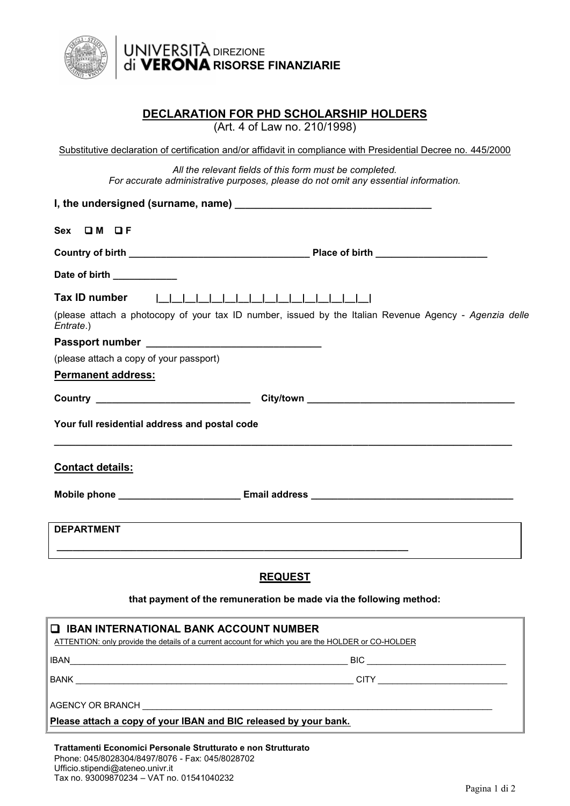

## DIREZIONE **RISORSE FINANZIARIE**

## **DECLARATION FOR PHD SCHOLARSHIP HOLDERS**

(Art. 4 of Law no. 210/1998)

| Substitutive declaration of certification and/or affidavit in compliance with Presidential Decree no. 445/2000                                                                                                                       |
|--------------------------------------------------------------------------------------------------------------------------------------------------------------------------------------------------------------------------------------|
| All the relevant fields of this form must be completed.<br>For accurate administrative purposes, please do not omit any essential information.                                                                                       |
|                                                                                                                                                                                                                                      |
| Sex OM OF                                                                                                                                                                                                                            |
|                                                                                                                                                                                                                                      |
| Date of birth <b>contract of the set of stress of the set of the set of the set of the set of the set of the set of the set of the set of the set of the set of the set of the set of the set of the set of the set of the set o</b> |
|                                                                                                                                                                                                                                      |
| (please attach a photocopy of your tax ID number, issued by the Italian Revenue Agency - Agenzia delle<br>Entrate.)                                                                                                                  |
|                                                                                                                                                                                                                                      |
| (please attach a copy of your passport)                                                                                                                                                                                              |
| Permanent address:                                                                                                                                                                                                                   |
| City/town City/town                                                                                                                                                                                                                  |
| Your full residential address and postal code                                                                                                                                                                                        |
| <b>Contact details:</b>                                                                                                                                                                                                              |
|                                                                                                                                                                                                                                      |
| <b>DEPARTMENT</b>                                                                                                                                                                                                                    |
| <b>REQUEST</b>                                                                                                                                                                                                                       |
| that payment of the remuneration be made via the following method:                                                                                                                                                                   |
|                                                                                                                                                                                                                                      |

| <b>Q IBAN INTERNATIONAL BANK ACCOUNT NUMBER</b><br>ATTENTION: only provide the details of a current account for which you are the HOLDER or CO-HOLDER |                              |  |
|-------------------------------------------------------------------------------------------------------------------------------------------------------|------------------------------|--|
| <b>IBAN</b><br><u> 2000 - Jan James James James James James James James James James James James James James James James James Ja</u>                  |                              |  |
|                                                                                                                                                       | CITY _______________________ |  |
|                                                                                                                                                       |                              |  |
| Please attach a copy of your IBAN and BIC released by your bank.                                                                                      |                              |  |
|                                                                                                                                                       |                              |  |